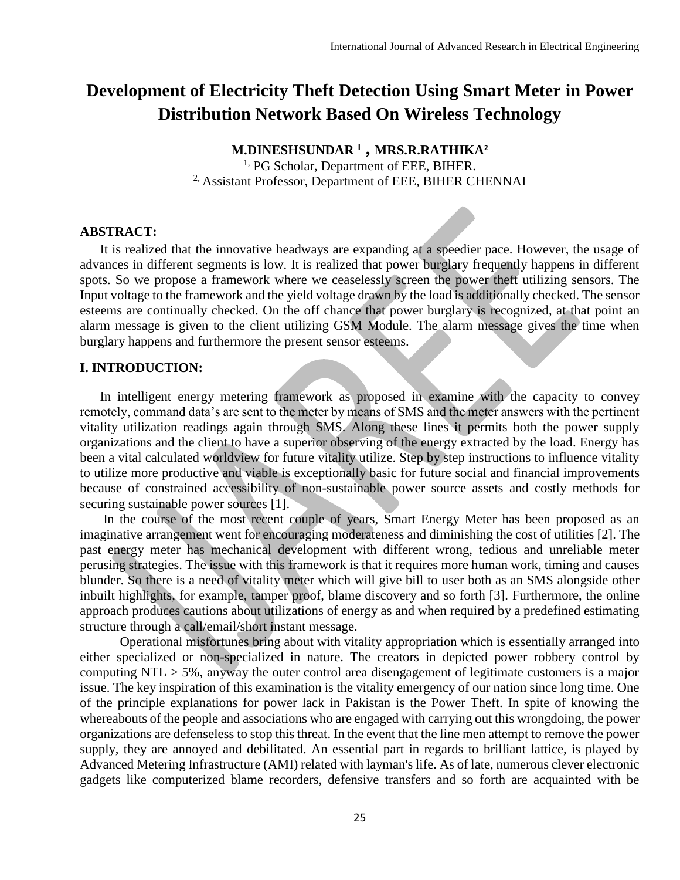# **Development of Electricity Theft Detection Using Smart Meter in Power Distribution Network Based On Wireless Technology**

**M.DINESHSUNDAR <sup>1</sup> , MRS.R.RATHIKA<sup>2</sup>** <sup>1,</sup> PG Scholar, Department of EEE, BIHER. <sup>2,</sup> Assistant Professor, Department of EEE, BIHER CHENNAI

#### **ABSTRACT:**

It is realized that the innovative headways are expanding at a speedier pace. However, the usage of advances in different segments is low. It is realized that power burglary frequently happens in different spots. So we propose a framework where we ceaselessly screen the power theft utilizing sensors. The Input voltage to the framework and the yield voltage drawn by the load is additionally checked. The sensor esteems are continually checked. On the off chance that power burglary is recognized, at that point an alarm message is given to the client utilizing GSM Module. The alarm message gives the time when burglary happens and furthermore the present sensor esteems.

#### **I. INTRODUCTION:**

In intelligent energy metering framework as proposed in examine with the capacity to convey remotely, command data's are sent to the meter by means of SMS and the meter answers with the pertinent vitality utilization readings again through SMS. Along these lines it permits both the power supply organizations and the client to have a superior observing of the energy extracted by the load. Energy has been a vital calculated worldview for future vitality utilize. Step by step instructions to influence vitality to utilize more productive and viable is exceptionally basic for future social and financial improvements because of constrained accessibility of non-sustainable power source assets and costly methods for securing sustainable power sources [1].

In the course of the most recent couple of years, Smart Energy Meter has been proposed as an imaginative arrangement went for encouraging moderateness and diminishing the cost of utilities [2]. The past energy meter has mechanical development with different wrong, tedious and unreliable meter perusing strategies. The issue with this framework is that it requires more human work, timing and causes blunder. So there is a need of vitality meter which will give bill to user both as an SMS alongside other inbuilt highlights, for example, tamper proof, blame discovery and so forth [3]. Furthermore, the online approach produces cautions about utilizations of energy as and when required by a predefined estimating structure through a call/email/short instant message.

Operational misfortunes bring about with vitality appropriation which is essentially arranged into either specialized or non-specialized in nature. The creators in depicted power robbery control by computing NTL > 5%, anyway the outer control area disengagement of legitimate customers is a major issue. The key inspiration of this examination is the vitality emergency of our nation since long time. One of the principle explanations for power lack in Pakistan is the Power Theft. In spite of knowing the whereabouts of the people and associations who are engaged with carrying out this wrongdoing, the power organizations are defenseless to stop this threat. In the event that the line men attempt to remove the power supply, they are annoyed and debilitated. An essential part in regards to brilliant lattice, is played by Advanced Metering Infrastructure (AMI) related with layman's life. As of late, numerous clever electronic gadgets like computerized blame recorders, defensive transfers and so forth are acquainted with be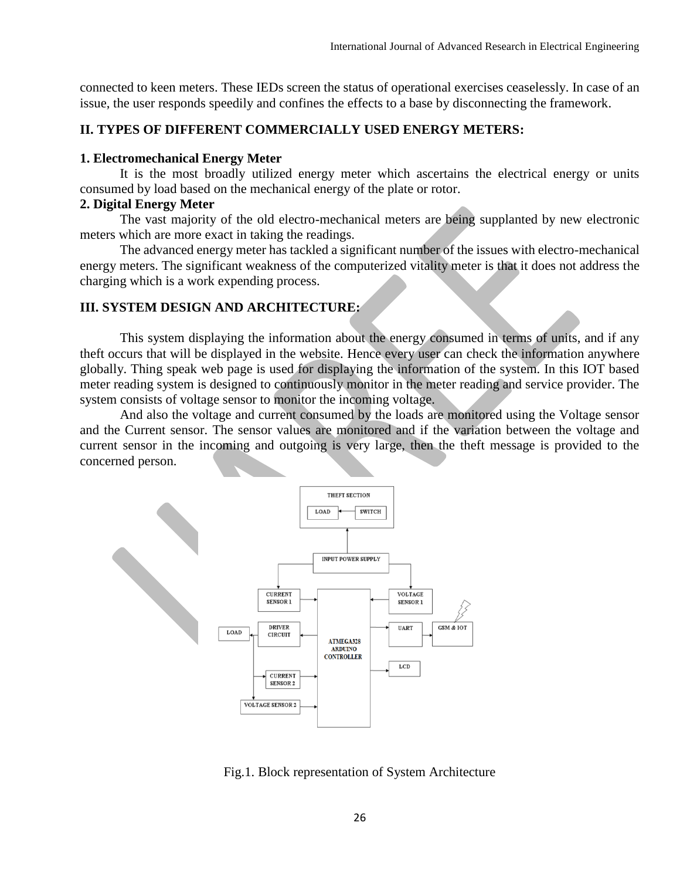connected to keen meters. These IEDs screen the status of operational exercises ceaselessly. In case of an issue, the user responds speedily and confines the effects to a base by disconnecting the framework.

#### **II. TYPES OF DIFFERENT COMMERCIALLY USED ENERGY METERS:**

#### **1. Electromechanical Energy Meter**

It is the most broadly utilized energy meter which ascertains the electrical energy or units consumed by load based on the mechanical energy of the plate or rotor.

#### **2. Digital Energy Meter**

The vast majority of the old electro-mechanical meters are being supplanted by new electronic meters which are more exact in taking the readings.

The advanced energy meter has tackled a significant number of the issues with electro-mechanical energy meters. The significant weakness of the computerized vitality meter is that it does not address the charging which is a work expending process.

#### **III. SYSTEM DESIGN AND ARCHITECTURE:**

This system displaying the information about the energy consumed in terms of units, and if any theft occurs that will be displayed in the website. Hence every user can check the information anywhere globally. Thing speak web page is used for displaying the information of the system. In this IOT based meter reading system is designed to continuously monitor in the meter reading and service provider. The system consists of voltage sensor to monitor the incoming voltage.

And also the voltage and current consumed by the loads are monitored using the Voltage sensor and the Current sensor. The sensor values are monitored and if the variation between the voltage and current sensor in the incoming and outgoing is very large, then the theft message is provided to the concerned person.



Fig.1. Block representation of System Architecture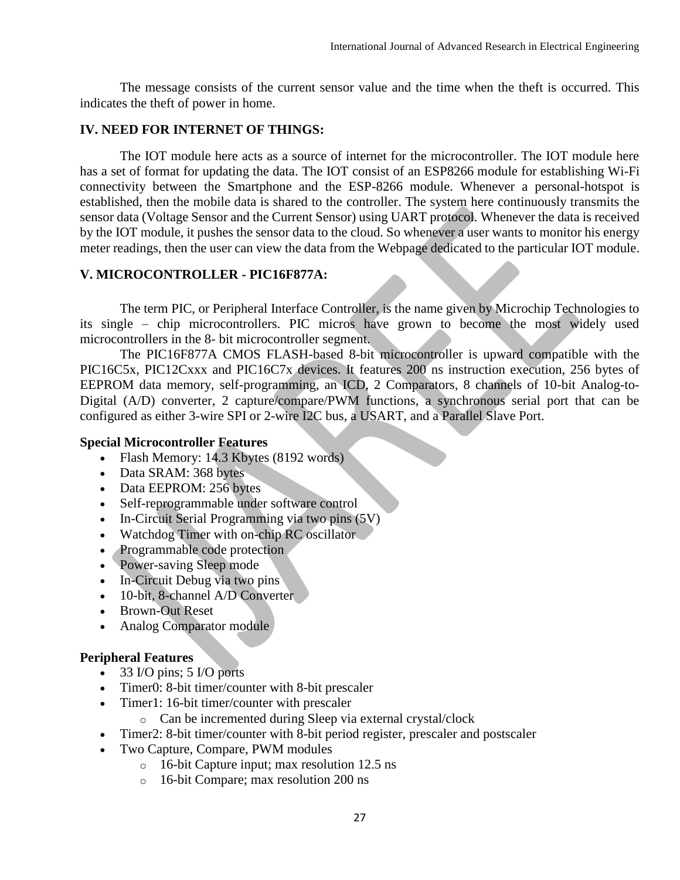The message consists of the current sensor value and the time when the theft is occurred. This indicates the theft of power in home.

## **IV. NEED FOR INTERNET OF THINGS:**

The IOT module here acts as a source of internet for the microcontroller. The IOT module here has a set of format for updating the data. The IOT consist of an ESP8266 module for establishing Wi-Fi connectivity between the Smartphone and the ESP-8266 module. Whenever a personal-hotspot is established, then the mobile data is shared to the controller. The system here continuously transmits the sensor data (Voltage Sensor and the Current Sensor) using UART protocol. Whenever the data is received by the IOT module, it pushes the sensor data to the cloud. So whenever a user wants to monitor his energy meter readings, then the user can view the data from the Webpage dedicated to the particular IOT module.

## **V. MICROCONTROLLER - PIC16F877A:**

The term PIC, or Peripheral Interface Controller, is the name given by Microchip Technologies to its single – chip microcontrollers. PIC micros have grown to become the most widely used microcontrollers in the 8- bit microcontroller segment.

The PIC16F877A CMOS FLASH-based 8-bit microcontroller is upward compatible with the PIC16C5x, PIC12Cxxx and PIC16C7x devices. It features 200 ns instruction execution, 256 bytes of EEPROM data memory, self-programming, an ICD, 2 Comparators, 8 channels of 10-bit Analog-to-Digital (A/D) converter, 2 capture/compare/PWM functions, a synchronous serial port that can be configured as either 3-wire SPI or 2-wire I2C bus, a USART, and a Parallel Slave Port.

## **Special Microcontroller Features**

- Flash Memory: 14.3 Kbytes (8192 words)
- Data SRAM: 368 bytes
- Data EEPROM: 256 bytes
- Self-reprogrammable under software control
- In-Circuit Serial Programming via two pins (5V)
- Watchdog Timer with on-chip RC oscillator
- Programmable code protection
- Power-saving Sleep mode
- In-Circuit Debug via two pins
- 10-bit, 8-channel A/D Converter
- Brown-Out Reset
- Analog Comparator module

## **Peripheral Features**

- $\bullet$  33 I/O pins; 5 I/O ports
- Timer0: 8-bit timer/counter with 8-bit prescaler
- Timer1: 16-bit timer/counter with prescaler
	- o Can be incremented during Sleep via external crystal/clock
- Timer2: 8-bit timer/counter with 8-bit period register, prescaler and postscaler
- Two Capture, Compare, PWM modules
	- o 16-bit Capture input; max resolution 12.5 ns
	- o 16-bit Compare; max resolution 200 ns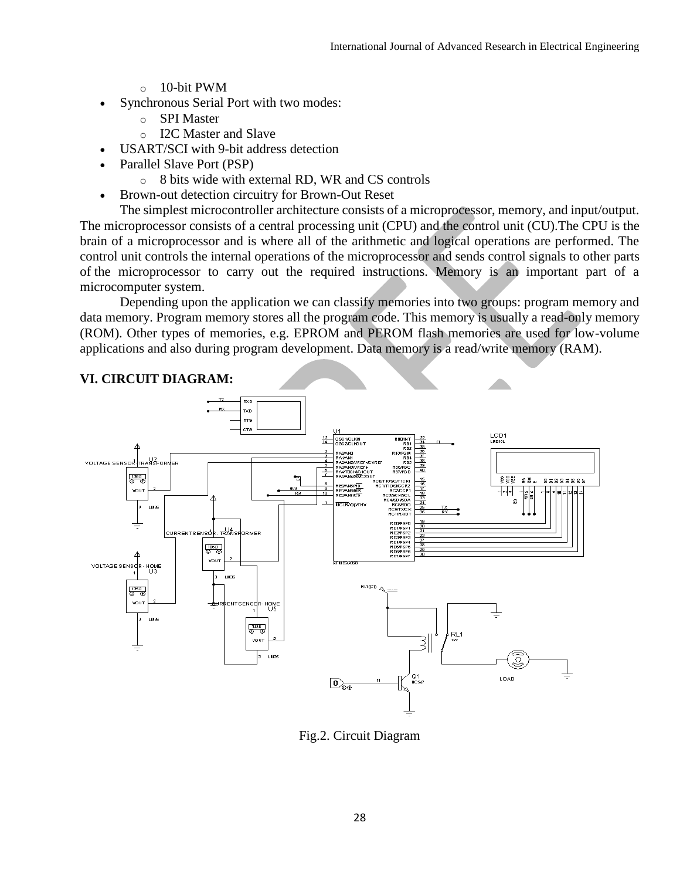- o 10-bit PWM
- Synchronous Serial Port with two modes:
	- o SPI Master
	- o I2C Master and Slave
- USART/SCI with 9-bit address detection
- Parallel Slave Port (PSP)
	- o 8 bits wide with external RD, WR and CS controls
- Brown-out detection circuitry for Brown-Out Reset

The simplest microcontroller architecture consists of a microprocessor, memory, and input/output. The microprocessor consists of a central processing unit (CPU) and the control unit (CU).The CPU is the brain of a microprocessor and is where all of the arithmetic and logical operations are performed. The control unit controls the internal operations of the microprocessor and sends control signals to other parts of the microprocessor to carry out the required instructions. Memory is an important part of a microcomputer system.

Depending upon the application we can classify memories into two groups: program memory and data memory. Program memory stores all the program code. This memory is usually a read-only memory (ROM). Other types of memories, e.g. EPROM and PEROM flash memories are used for low-volume applications and also during program development. Data memory is a read/write memory (RAM).



## Fig.2. Circuit Diagram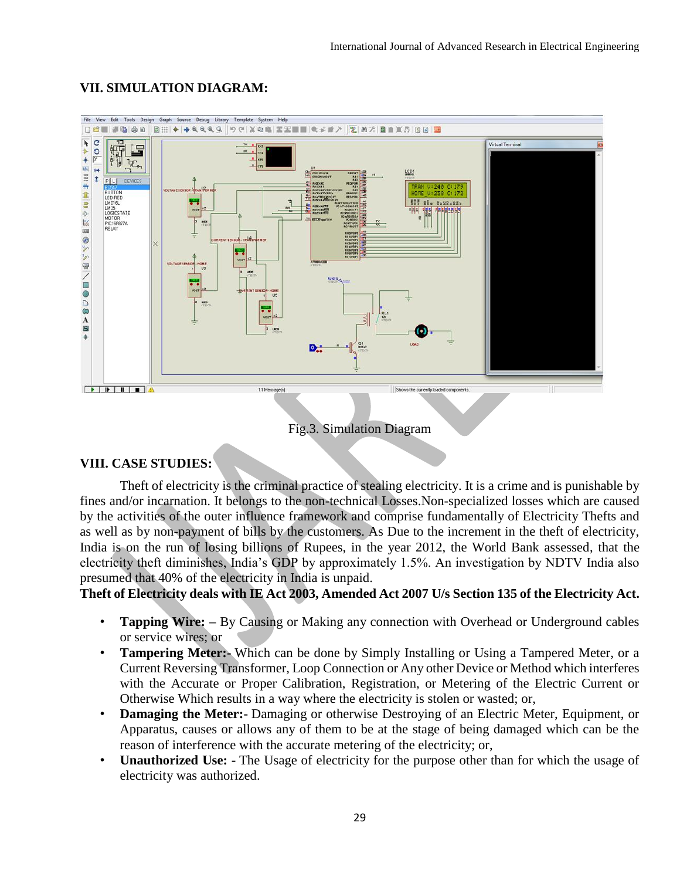## **VII. SIMULATION DIAGRAM:**



#### Fig.3. Simulation Diagram

#### **VIII. CASE STUDIES:**

Theft of electricity is the criminal practice of stealing electricity. It is a crime and is punishable by fines and/or incarnation. It belongs to the non-technical Losses.Non-specialized losses which are caused by the activities of the outer influence framework and comprise fundamentally of Electricity Thefts and as well as by non-payment of bills by the customers. As Due to the increment in the theft of electricity, India is on the run of losing billions of Rupees, in the year 2012, the World Bank assessed, that the electricity theft diminishes, India's GDP by approximately 1.5%. An investigation by NDTV India also presumed that 40% of the electricity in India is unpaid.

**Theft of Electricity deals with IE Act 2003, Amended Act 2007 U/s Section 135 of the Electricity Act.**

- **Tapping Wire:** By Causing or Making any connection with Overhead or Underground cables or service wires; or
- **Tampering Meter:-** Which can be done by Simply Installing or Using a Tampered Meter, or a Current Reversing Transformer, Loop Connection or Any other Device or Method which interferes with the Accurate or Proper Calibration, Registration, or Metering of the Electric Current or Otherwise Which results in a way where the electricity is stolen or wasted; or,
- **Damaging the Meter:-** Damaging or otherwise Destroying of an Electric Meter, Equipment, or Apparatus, causes or allows any of them to be at the stage of being damaged which can be the reason of interference with the accurate metering of the electricity; or,
- **Unauthorized Use: -** The Usage of electricity for the purpose other than for which the usage of electricity was authorized.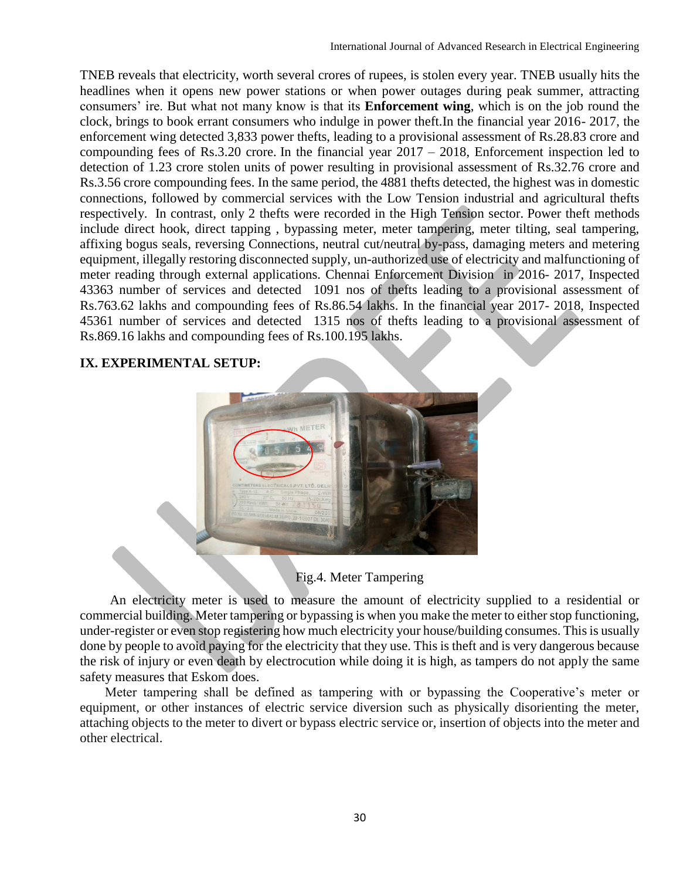TNEB reveals that electricity, worth several crores of rupees, is stolen every year. TNEB usually hits the headlines when it opens new power stations or when power outages during peak summer, attracting consumers' ire. But what not many know is that its **Enforcement wing**, which is on the job round the clock, brings to book errant consumers who indulge in power theft.In the financial year 2016- 2017, the enforcement wing detected 3,833 power thefts, leading to a provisional assessment of Rs.28.83 crore and compounding fees of Rs.3.20 crore. In the financial year 2017 – 2018, Enforcement inspection led to detection of 1.23 crore stolen units of power resulting in provisional assessment of Rs.32.76 crore and Rs.3.56 crore compounding fees. In the same period, the 4881 thefts detected, the highest was in domestic connections, followed by commercial services with the Low Tension industrial and agricultural thefts respectively. In contrast, only 2 thefts were recorded in the High Tension sector. Power theft methods include direct hook, direct tapping , bypassing meter, meter tampering, meter tilting, seal tampering, affixing bogus seals, reversing Connections, neutral cut/neutral by-pass, damaging meters and metering equipment, illegally restoring disconnected supply, un-authorized use of electricity and malfunctioning of meter reading through external applications. Chennai Enforcement Division in 2016- 2017, Inspected 43363 number of services and detected 1091 nos of thefts leading to a provisional assessment of Rs.763.62 lakhs and compounding fees of Rs.86.54 lakhs. In the financial year 2017- 2018, Inspected 45361 number of services and detected 1315 nos of thefts leading to a provisional assessment of Rs.869.16 lakhs and compounding fees of Rs.100.195 lakhs.

# **IX. EXPERIMENTAL SETUP:**



# Fig.4. Meter Tampering

An electricity meter is used to measure the amount of electricity supplied to a residential or commercial building. Meter tampering or bypassing is when you make the meter to either stop functioning, under-register or even stop registering how much electricity your house/building consumes. This is usually done by people to avoid paying for the electricity that they use. This is theft and is very dangerous because the risk of injury or even death by electrocution while doing it is high, as tampers do not apply the same safety measures that Eskom does.

Meter tampering shall be defined as tampering with or bypassing the Cooperative's meter or equipment, or other instances of electric service diversion such as physically disorienting the meter, attaching objects to the meter to divert or bypass electric service or, insertion of objects into the meter and other electrical.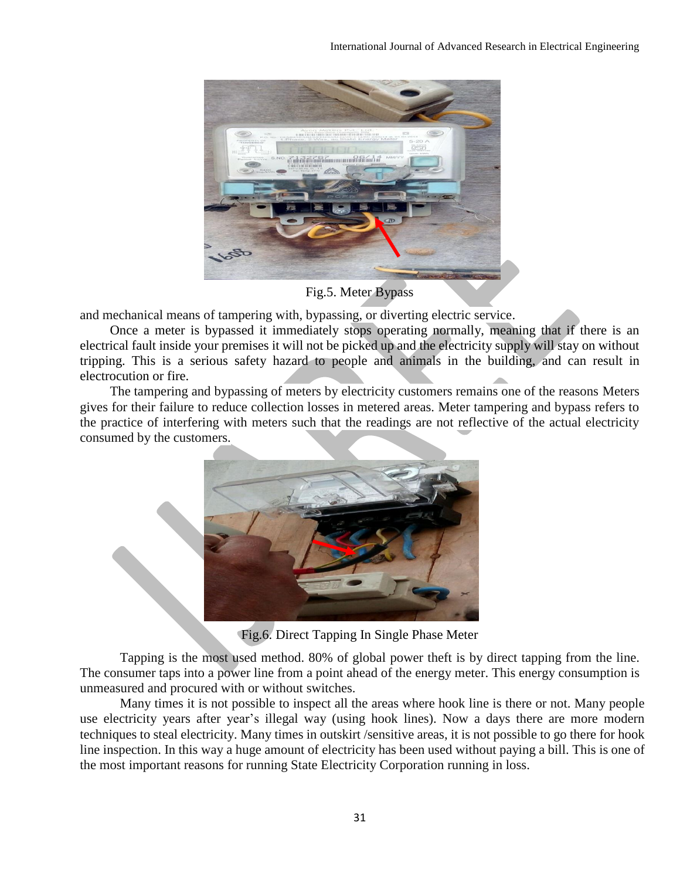

Fig.5. Meter Bypass

and mechanical means of tampering with, bypassing, or diverting electric service.

Once a meter is bypassed it immediately stops operating normally, meaning that if there is an electrical fault inside your premises it will not be picked up and the electricity supply will stay on without tripping. This is a serious safety hazard to people and animals in the building, and can result in electrocution or fire.

The tampering and bypassing of meters by electricity customers remains one of the reasons Meters gives for their failure to reduce collection losses in metered areas. Meter tampering and bypass refers to the practice of interfering with meters such that the readings are not reflective of the actual electricity consumed by the customers.



Fig.6. Direct Tapping In Single Phase Meter

Tapping is the most used method. 80% of global power theft is by direct tapping from the line. The consumer taps into a power line from a point ahead of the [energy](https://en.wikipedia.org/wiki/Energy_meter) meter. This [energy](https://en.wikipedia.org/wiki/Energy) consumption is unmeasured and procured with or without switches.

Many times it is not possible to inspect all the areas where hook line is there or not. Many people use electricity years after year's illegal way (using hook lines). Now a days there are more modern techniques to steal electricity. Many times in outskirt /sensitive areas, it is not possible to go there for hook line inspection. In this way a huge amount of electricity has been used without paying a bill. This is one of the most important reasons for running State Electricity Corporation running in loss.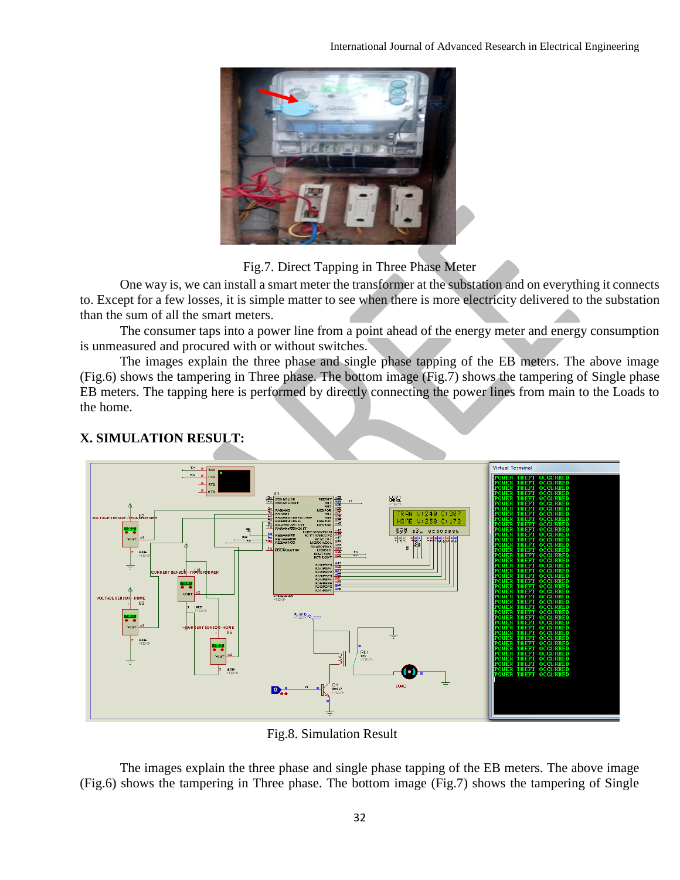

## Fig.7. Direct Tapping in Three Phase Meter

One way is, we can install a smart meter the transformer at the substation and on everything it connects to. Except for a few losses, it is simple matter to see when there is more electricity delivered to the substation than the sum of all the smart meters.

The consumer taps into a power line from a point ahead of the energy meter and energy consumption is unmeasured and procured with or without switches.

The images explain the three phase and single phase tapping of the EB meters. The above image (Fig.6) shows the tampering in Three phase. The bottom image (Fig.7) shows the tampering of Single phase EB meters. The tapping here is performed by directly connecting the power lines from main to the Loads to the home.



# **X. SIMULATION RESULT:**

Fig.8. Simulation Result

The images explain the three phase and single phase tapping of the EB meters. The above image (Fig.6) shows the tampering in Three phase. The bottom image (Fig.7) shows the tampering of Single